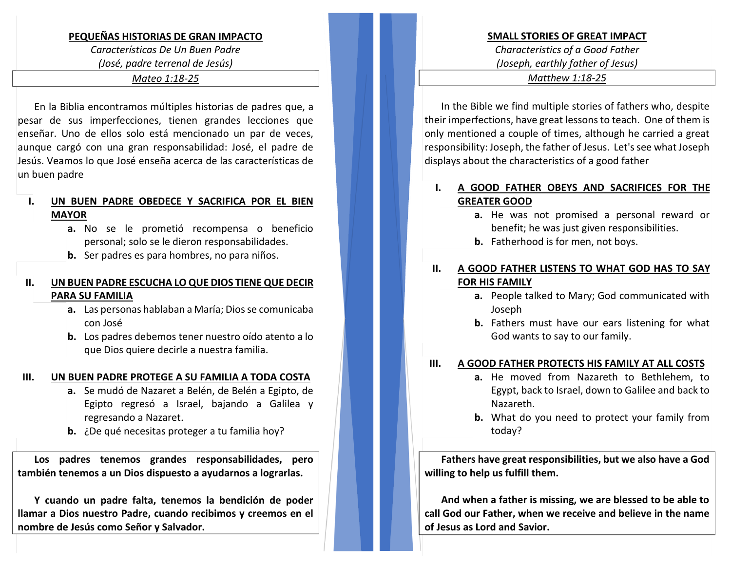# **PEQUEÑAS HISTORIAS DE GRAN IMPACTO**

#### *Características De Un Buen Padre*

*(José, padre terrenal de Jesús)*

#### *Mateo 1:18-25*

En la Biblia encontramos múltiples historias de padres que, a pesar de sus imperfecciones, tienen grandes lecciones que enseñar. Uno de ellos solo está mencionado un par de veces, aunque cargó con una gran responsabilidad: José, el padre de Jesús. Veamos lo que José enseña acerca de las características de un buen padre

# **I. UN BUEN PADRE OBEDECE Y SACRIFICA POR EL BIEN MAYOR**

- **a.** No se le prometió recompensa o beneficio personal; solo se le dieron responsabilidades.
- **b.** Ser padres es para hombres, no para niños.

## **II. UN BUEN PADRE ESCUCHA LO QUE DIOS TIENE QUE DECIR PARA SU FAMILIA**

- **a.** Las personas hablaban a María; Dios se comunicaba con José
- **b.** Los padres debemos tener nuestro oído atento a lo que Dios quiere decirle a nuestra familia.

### **III. UN BUEN PADRE PROTEGE A SU FAMILIA A TODA COSTA**

- **a.** Se mudó de Nazaret a Belén, de Belén a Egipto, de Egipto regresó a Israel, bajando a Galilea y regresando a Nazaret.
- **b.** ¿De qué necesitas proteger a tu familia hoy?

**Los padres tenemos grandes responsabilidades, pero también tenemos a un Dios dispuesto a ayudarnos a lograrlas.**

**Y cuando un padre falta, tenemos la bendición de poder llamar a Dios nuestro Padre, cuando recibimos y creemos en el nombre de Jesús como Señor y Salvador.**

#### **SMALL STORIES OF GREAT IMPACT**

*Characteristics of a Good Father (Joseph, earthly father of Jesus) Matthew 1:18-25*

In the Bible we find multiple stories of fathers who, despite their imperfections, have great lessons to teach. One of them is only mentioned a couple of times, although he carried a great responsibility: Joseph, the father of Jesus. Let's see what Joseph displays about the characteristics of a good father

# **I. A GOOD FATHER OBEYS AND SACRIFICES FOR THE GREATER GOOD**

- **a.** He was not promised a personal reward or benefit; he was just given responsibilities.
- **b.** Fatherhood is for men, not boys.

# **II. A GOOD FATHER LISTENS TO WHAT GOD HAS TO SAY FOR HIS FAMILY**

- **a.** People talked to Mary; God communicated with Joseph
- **b.** Fathers must have our ears listening for what God wants to say to our family.

#### **III. A GOOD FATHER PROTECTS HIS FAMILY AT ALL COSTS**

- **a.** He moved from Nazareth to Bethlehem, to Egypt, back to Israel, down to Galilee and back to Nazareth.
- **b.** What do you need to protect your family from today?

**Fathers have great responsibilities, but we also have a God willing to help us fulfill them.**

**And when a father is missing, we are blessed to be able to call God our Father, when we receive and believe in the name of Jesus as Lord and Savior.**